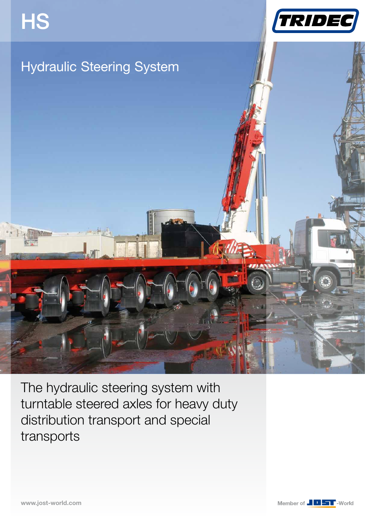







The hydraulic steering system with turntable steered axles for heavy duty distribution transport and special transports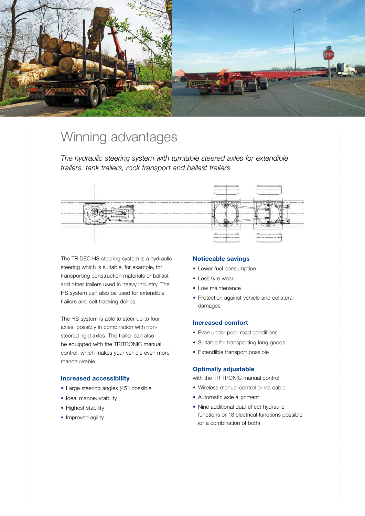

# Winning advantages

*The hydraulic steering system with turntable steered axles for extendible trailers, tank trailers, rock transport and ballast trailers*



The TRIDEC HS steering system is a hydraulic steering which is suitable, for example, for transporting construction materials or ballast and other trailers used in heavy industry. The HS system can also be used for extendible trailers and self tracking dollies.

The HS system is able to steer up to four axles, possibly in combination with nonsteered rigid axles. The trailer can also be equipped with the TRITRONIC manual control, which makes your vehicle even more manoeuvrable.

# **Increased accessibility**

- Large steering angles (45˚) possible
- Ideal manoeuvrability
- Highest stability
- Improved agility

# **Noticeable savings**

- Lower fuel consumption
- Less tyre wear
- Low maintenance
- Protection against vehicle and collateral damages

# **Increased comfort**

- Even under poor road conditions
- Suitable for transporting long goods
- Extendible transport possible

# **Optimally adjustable**

with the TRITRONIC manual control

- Wireless manual control or via cable
- Automatic axle alignment
- Nine additional dual-effect hydraulic functions or 18 electrical functions possible (or a combination of both)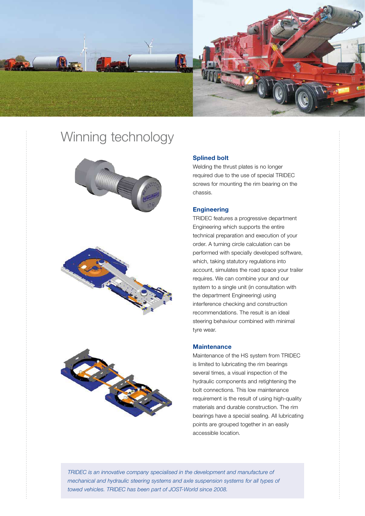

# Winning technology







# **Splined bolt**

Welding the thrust plates is no longer required due to the use of special TRIDEC screws for mounting the rim bearing on the chassis.

## **Engineering**

TRIDEC features a progressive department Engineering which supports the entire technical preparation and execution of your order. A turning circle calculation can be performed with specially developed software, which, taking statutory regulations into account, simulates the road space your trailer requires. We can combine your and our system to a single unit (in consultation with the department Engineering) using interference checking and construction recommendations. The result is an ideal steering behaviour combined with minimal tyre wear.

### **Maintenance**

Maintenance of the HS system from TRIDEC is limited to lubricating the rim bearings several times, a visual inspection of the hydraulic components and retightening the bolt connections. This low maintenance requirement is the result of using high-quality materials and durable construction. The rim bearings have a special sealing. All lubricating points are grouped together in an easily accessible location.

*TRIDEC is an innovative company specialised in the development and manufacture of mechanical and hydraulic steering systems and axle suspension systems for all types of towed vehicles. TRIDEC has been part of JOST-World since 2008.*